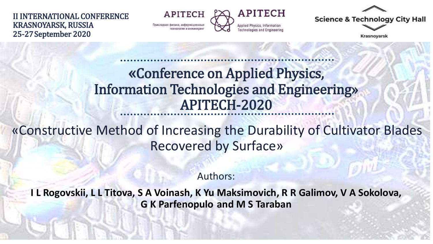II INTERNATIONAL CONFERENCE KRASNOYARSK, RUSSIA 25-27September 2020

**APITECH** Прикладная физика, информационны



**Science & Technology City Hall** 

Krasnovarsk

### «Conference on Applied Physics, Information Technologies and Engineering» APITECH-2020

«Constructive Method of Increasing the Durability of Cultivator Blades Recovered by Surface»

Authors:

**I L Rogovskii, L L Titova, S A Voinash, K Yu Maksimovich, R R Galimov, V A Sokolova, G K Parfenopulo and M S Taraban**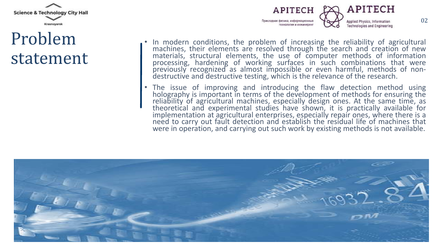

## Problem statement



- In modern conditions, the problem of increasing the reliability of agricultural machines, their elements are resolved through the search and creation of new materials, structural elements, the use of computer methods of information processing, hardening of working surfaces in such combinations that were previously recognized as almost impossible or even harmful, methods of nondestructive and destructive testing, which is the relevance of the research.
- The issue of improving and introducing the flaw detection method using holography is important in terms of the development of methods for ensuring the reliability of agricultural machines, especially design ones. At the same time, as theoretical and experimental studies have shown, it is practically available for implementation at agricultural enterprises, especially repair ones, where there is a need to carry out fault detection and establish the residual life of machines that were in operation, and carrying out such work by existing methods is not available.

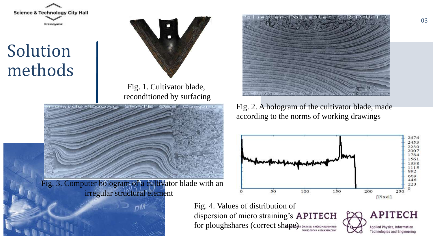

# Solution methods



Fig. 1. Cultivator blade, reconditioned by surfacing





Fig. 2. A hologram of the cultivator blade, made according to the norms of working drawings



Fig. 4. Values of distribution of dispersion of micro straining's **APITECH** for ploughshares (correct shape) **a** \$1539Ka, *RH*QODMAQUAOHNHE

**APITECH** Applied Physics, Information **Technologies and Engineering**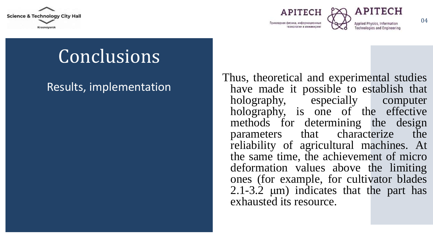

APITECH Прикладная физика, информационные ниднижни и интоприхет



Applied Physics, Inform

# Conclusions

#### Results, implementation

Thus, theoretical and experimental studies have made it possible to establish that holography, especially computer holography, is one of the effective methods for determining the design parameters that characterize the reliability of agricultural machines. At the same time, the achievement of micro deformation values above the limiting ones (for example, for cultivator blades 2.1-3.2 μm) indicates that the part has exhausted its resource.